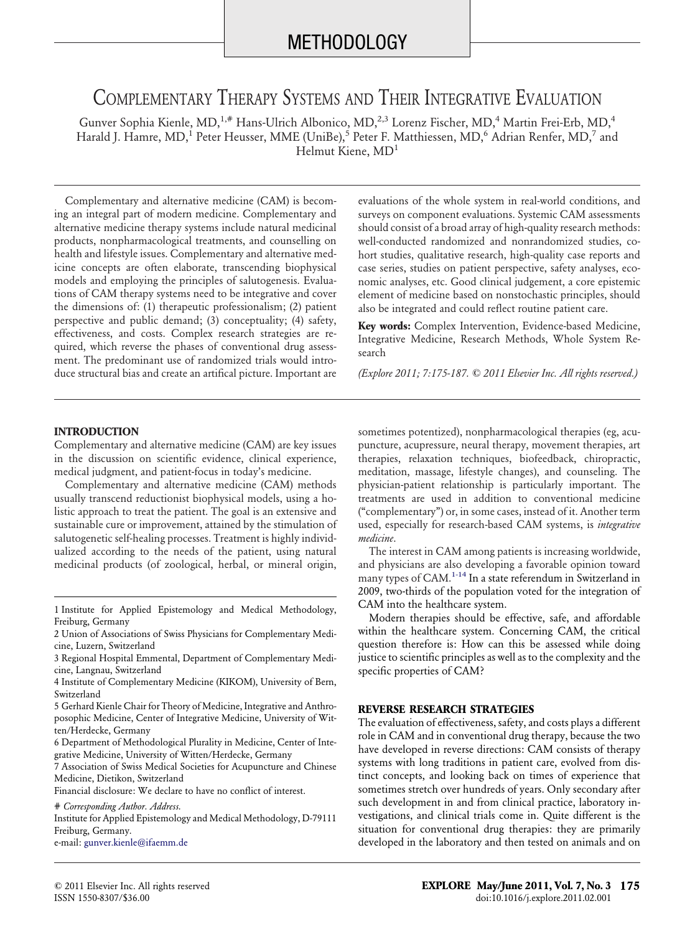# COMPLEMENTARY THERAPY SYSTEMS AND THEIR INTEGRATIVE EVALUATION

Gunver Sophia Kienle, MD,<sup>1,#</sup> Hans-Ulrich Albonico, MD,<sup>2,3</sup> Lorenz Fischer, MD,<sup>4</sup> Martin Frei-Erb, MD,<sup>4</sup> Harald J. Hamre, MD,<sup>1</sup> Peter Heusser, MME (UniBe),<sup>5</sup> Peter F. Matthiessen, MD,<sup>6</sup> Adrian Renfer, MD,<sup>7</sup> and Helmut Kiene, MD<sup>1</sup>

Complementary and alternative medicine (CAM) is becoming an integral part of modern medicine. Complementary and alternative medicine therapy systems include natural medicinal products, nonpharmacological treatments, and counselling on health and lifestyle issues. Complementary and alternative medicine concepts are often elaborate, transcending biophysical models and employing the principles of salutogenesis. Evaluations of CAM therapy systems need to be integrative and cover the dimensions of: (1) therapeutic professionalism; (2) patient perspective and public demand; (3) conceptuality; (4) safety, effectiveness, and costs. Complex research strategies are required, which reverse the phases of conventional drug assessment. The predominant use of randomized trials would introduce structural bias and create an artifical picture. Important are

evaluations of the whole system in real-world conditions, and surveys on component evaluations. Systemic CAM assessments should consist of a broad array of high-quality research methods: well-conducted randomized and nonrandomized studies, cohort studies, qualitative research, high-quality case reports and case series, studies on patient perspective, safety analyses, economic analyses, etc. Good clinical judgement, a core epistemic element of medicine based on nonstochastic principles, should also be integrated and could reflect routine patient care.

**Key words:** Complex Intervention, Evidence-based Medicine, Integrative Medicine, Research Methods, Whole System Research

*(Explore 2011; 7:175-187. © 2011 Elsevier Inc. All rights reserved.)*

## **INTRODUCTION**

Complementary and alternative medicine (CAM) are key issues in the discussion on scientific evidence, clinical experience, medical judgment, and patient-focus in today's medicine.

Complementary and alternative medicine (CAM) methods usually transcend reductionist biophysical models, using a holistic approach to treat the patient. The goal is an extensive and sustainable cure or improvement, attained by the stimulation of salutogenetic self-healing processes. Treatment is highly individualized according to the needs of the patient, using natural medicinal products (of zoological, herbal, or mineral origin,

Financial disclosure: We declare to have no conflict of interest.

Institute for Applied Epistemology and Medical Methodology, D-79111 Freiburg, Germany.

e-mail: [gunver.kienle@ifaemm.de](mailto:gunver.kienle@ifaemm.de)

sometimes potentized), nonpharmacological therapies (eg, acupuncture, acupressure, neural therapy, movement therapies, art therapies, relaxation techniques, biofeedback, chiropractic, meditation, massage, lifestyle changes), and counseling. The physician-patient relationship is particularly important. The treatments are used in addition to conventional medicine ("complementary") or, in some cases, instead of it. Another term used, especially for research-based CAM systems, is *integrative medicine*.

The interest in CAM among patients is increasing worldwide, and physicians are also developing a favorable opinion toward many types of CAM.<sup>1-14</sup> In a state referendum in Switzerland in 2009, two-thirds of the population voted for the integration of CAM into the healthcare system.

Modern therapies should be effective, safe, and affordable within the healthcare system. Concerning CAM, the critical question therefore is: How can this be assessed while doing justice to scientific principles as well as to the complexity and the specific properties of CAM?

#### **REVERSE RESEARCH STRATEGIES**

The evaluation of effectiveness, safety, and costs plays a different role in CAM and in conventional drug therapy, because the two have developed in reverse directions: CAM consists of therapy systems with long traditions in patient care, evolved from distinct concepts, and looking back on times of experience that sometimes stretch over hundreds of years. Only secondary after such development in and from clinical practice, laboratory investigations, and clinical trials come in. Quite different is the situation for conventional drug therapies: they are primarily developed in the laboratory and then tested on animals and on

<sup>1</sup> Institute for Applied Epistemology and Medical Methodology, Freiburg, Germany

<sup>2</sup> Union of Associations of Swiss Physicians for Complementary Medicine, Luzern, Switzerland

<sup>3</sup> Regional Hospital Emmental, Department of Complementary Medicine, Langnau, Switzerland

<sup>4</sup> Institute of Complementary Medicine (KIKOM), University of Bern, Switzerland

<sup>5</sup> Gerhard Kienle Chair for Theory of Medicine, Integrative and Anthroposophic Medicine, Center of Integrative Medicine, University of Witten/Herdecke, Germany

<sup>6</sup> Department of Methodological Plurality in Medicine, Center of Integrative Medicine, University of Witten/Herdecke, Germany

<sup>7</sup> Association of Swiss Medical Societies for Acupuncture and Chinese Medicine, Dietikon, Switzerland

<sup>#</sup> *Corresponding Author. Address.*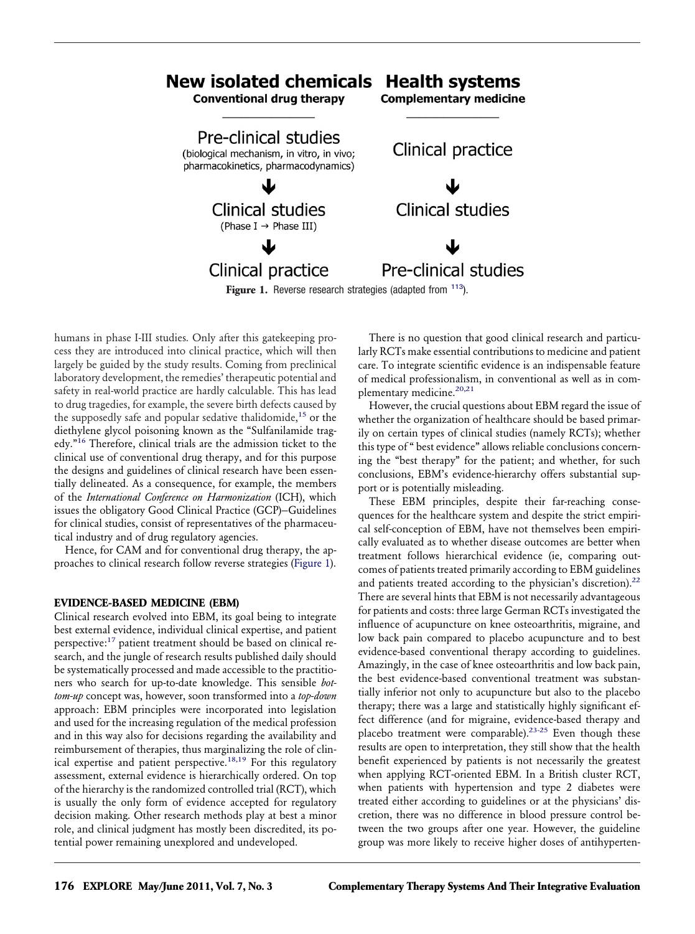

humans in phase I-III studies*.* Only after this gatekeeping process they are introduced into clinical practice, which will then largely be guided by the study results. Coming from preclinical laboratory development, the remedies' therapeutic potential and safety in real-world practice are hardly calculable. This has lead to drug tragedies, for example, the severe birth defects caused by the supposedly safe and popular sedative thalidomide,<sup>[15](#page-8-1)</sup> or the diethylene glycol poisoning known as the "Sulfanilamide tragedy.["16](#page-9-0) Therefore, clinical trials are the admission ticket to the clinical use of conventional drug therapy, and for this purpose the designs and guidelines of clinical research have been essentially delineated. As a consequence, for example, the members of the *International Conference on Harmonization* (ICH), which issues the obligatory Good Clinical Practice (GCP)—Guidelines for clinical studies, consist of representatives of the pharmaceutical industry and of drug regulatory agencies.

Hence, for CAM and for conventional drug therapy, the approaches to clinical research follow reverse strategies [\(Figure 1\)](#page-1-0).

## **EVIDENCE-BASED MEDICINE (EBM)**

Clinical research evolved into EBM, its goal being to integrate best external evidence, individual clinical expertise, and patient perspective[:17](#page-9-1) patient treatment should be based on clinical research, and the jungle of research results published daily should be systematically processed and made accessible to the practitioners who search for up-to-date knowledge. This sensible *bottom-up* concept was, however, soon transformed into a *top-down* approach: EBM principles were incorporated into legislation and used for the increasing regulation of the medical profession and in this way also for decisions regarding the availability and reimbursement of therapies, thus marginalizing the role of clin-ical expertise and patient perspective.<sup>[18,19](#page-9-2)</sup> For this regulatory assessment, external evidence is hierarchically ordered. On top of the hierarchy is the randomized controlled trial (RCT), which is usually the only form of evidence accepted for regulatory decision making. Other research methods play at best a minor role, and clinical judgment has mostly been discredited, its potential power remaining unexplored and undeveloped.

<span id="page-1-0"></span>There is no question that good clinical research and particularly RCTs make essential contributions to medicine and patient care. To integrate scientific evidence is an indispensable feature of medical professionalism, in conventional as well as in complementary medicine.<sup>20,21</sup>

However, the crucial questions about EBM regard the issue of whether the organization of healthcare should be based primarily on certain types of clinical studies (namely RCTs); whether this type of " best evidence" allows reliable conclusions concerning the "best therapy" for the patient; and whether, for such conclusions, EBM's evidence-hierarchy offers substantial support or is potentially misleading.

These EBM principles, despite their far-reaching consequences for the healthcare system and despite the strict empirical self-conception of EBM, have not themselves been empirically evaluated as to whether disease outcomes are better when treatment follows hierarchical evidence (ie, comparing outcomes of patients treated primarily according to EBM guidelines and patients treated according to the physician's discretion).<sup>22</sup> There are several hints that EBM is not necessarily advantageous for patients and costs: three large German RCTs investigated the influence of acupuncture on knee osteoarthritis, migraine, and low back pain compared to placebo acupuncture and to best evidence-based conventional therapy according to guidelines. Amazingly, in the case of knee osteoarthritis and low back pain, the best evidence-based conventional treatment was substantially inferior not only to acupuncture but also to the placebo therapy; there was a large and statistically highly significant effect difference (and for migraine, evidence-based therapy and placebo treatment were comparable). $23-25$  Even though these results are open to interpretation, they still show that the health benefit experienced by patients is not necessarily the greatest when applying RCT-oriented EBM. In a British cluster RCT, when patients with hypertension and type 2 diabetes were treated either according to guidelines or at the physicians' discretion, there was no difference in blood pressure control between the two groups after one year. However, the guideline group was more likely to receive higher doses of antihyperten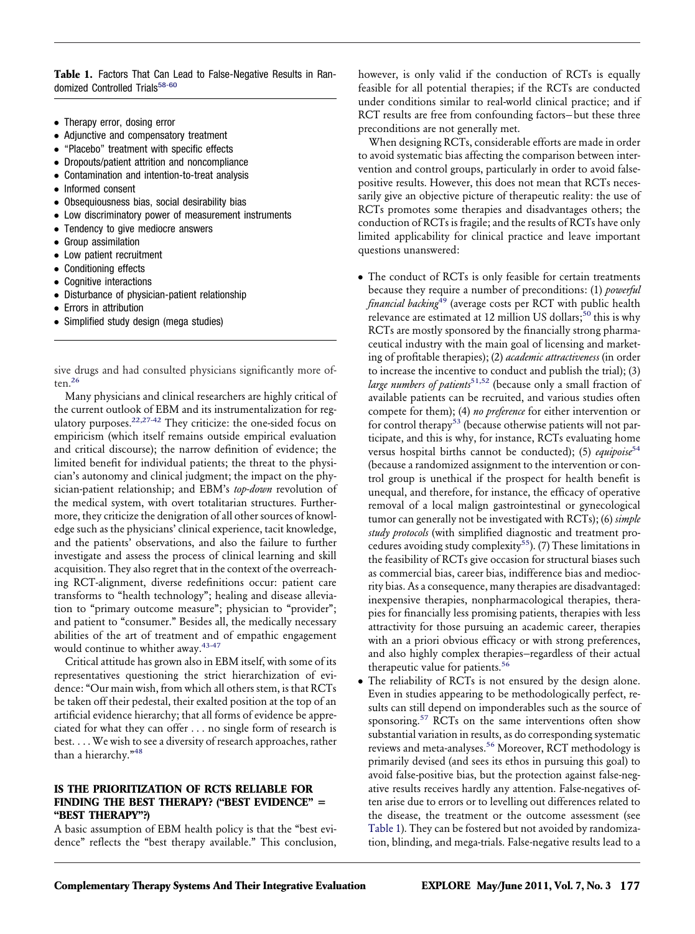<span id="page-2-0"></span>**Table 1.** Factors That Can Lead to False-Negative Results in Randomized Controlled Trials<sup>58-60</sup>

- Therapy error, dosing error
- Adjunctive and compensatory treatment
- "Placebo" treatment with specific effects
- Dropouts/patient attrition and noncompliance
- Contamination and intention-to-treat analysis
- Informed consent
- Obsequiousness bias, social desirability bias
- Low discriminatory power of measurement instruments
- Tendency to give mediocre answers
- Group assimilation
- Low patient recruitment
- Conditioning effects
- Cognitive interactions
- Disturbance of physician-patient relationship
- Errors in attribution
- Simplified study design (mega studies)

sive drugs and had consulted physicians significantly more often[.26](#page-9-6)

Many physicians and clinical researchers are highly critical of the current outlook of EBM and its instrumentalization for regulatory purposes.<sup>22,27-42</sup> They criticize: the one-sided focus on empiricism (which itself remains outside empirical evaluation and critical discourse); the narrow definition of evidence; the limited benefit for individual patients; the threat to the physician's autonomy and clinical judgment; the impact on the physician-patient relationship; and EBM's *top-down* revolution of the medical system, with overt totalitarian structures. Furthermore, they criticize the denigration of all other sources of knowledge such as the physicians' clinical experience, tacit knowledge, and the patients' observations, and also the failure to further investigate and assess the process of clinical learning and skill acquisition. They also regret that in the context of the overreaching RCT-alignment, diverse redefinitions occur: patient care transforms to "health technology"; healing and disease alleviation to "primary outcome measure"; physician to "provider"; and patient to "consumer." Besides all, the medically necessary abilities of the art of treatment and of empathic engagement would continue to whither away.<sup>43-47</sup>

Critical attitude has grown also in EBM itself, with some of its representatives questioning the strict hierarchization of evidence: "Our main wish, from which all others stem, is that RCTs be taken off their pedestal, their exalted position at the top of an artificial evidence hierarchy; that all forms of evidence be appreciated for what they can offer . . . no single form of research is best. . . . We wish to see a diversity of research approaches, rather than a hierarchy.["48](#page-9-8)

## **IS THE PRIORITIZATION OF RCTS RELIABLE FOR FINDING THE BEST THERAPY? ("BEST EVIDENCE" "BEST THERAPY"?)**

A basic assumption of EBM health policy is that the "best evidence" reflects the "best therapy available." This conclusion,

however, is only valid if the conduction of RCTs is equally feasible for all potential therapies; if the RCTs are conducted under conditions similar to real-world clinical practice; and if RCT results are free from confounding factors— but these three preconditions are not generally met.

When designing RCTs, considerable efforts are made in order to avoid systematic bias affecting the comparison between intervention and control groups, particularly in order to avoid falsepositive results. However, this does not mean that RCTs necessarily give an objective picture of therapeutic reality: the use of RCTs promotes some therapies and disadvantages others; the conduction of RCTs is fragile; and the results of RCTs have only limited applicability for clinical practice and leave important questions unanswered:

- The conduct of RCTs is only feasible for certain treatments because they require a number of preconditions: (1) *powerful financial backing*[49](#page-9-9) (average costs per RCT with public health relevance are estimated at 12 million US dollars;<sup>[50](#page-9-10)</sup> this is why RCTs are mostly sponsored by the financially strong pharmaceutical industry with the main goal of licensing and marketing of profitable therapies); (2) *academic attractiveness* (in order to increase the incentive to conduct and publish the trial); (3) *large numbers of patients*<sup>[51,52](#page-9-11)</sup> (because only a small fraction of available patients can be recruited, and various studies often compete for them); (4) *no preference* for either intervention or for control therapy<sup>53</sup> (because otherwise patients will not participate, and this is why, for instance, RCTs evaluating home versus hospital births cannot be conducted); (5) *equipoise*<sup>[54](#page-9-13)</sup> (because a randomized assignment to the intervention or control group is unethical if the prospect for health benefit is unequal, and therefore, for instance, the efficacy of operative removal of a local malign gastrointestinal or gynecological tumor can generally not be investigated with RCTs); (6) *simple study protocols* (with simplified diagnostic and treatment procedures avoiding study complexity<sup>55</sup>). (7) These limitations in the feasibility of RCTs give occasion for structural biases such as commercial bias, career bias, indifference bias and mediocrity bias. As a consequence, many therapies are disadvantaged: inexpensive therapies, nonpharmacological therapies, therapies for financially less promising patients, therapies with less attractivity for those pursuing an academic career, therapies with an a priori obvious efficacy or with strong preferences, and also highly complex therapies—regardless of their actual therapeutic value for patients.<sup>56</sup>
- The reliability of RCTs is not ensured by the design alone. Even in studies appearing to be methodologically perfect, results can still depend on imponderables such as the source of sponsoring.<sup>57</sup> RCTs on the same interventions often show substantial variation in results, as do corresponding systematic reviews and meta-analyses.<sup>56</sup> Moreover, RCT methodology is primarily devised (and sees its ethos in pursuing this goal) to avoid false-positive bias, but the protection against false-negative results receives hardly any attention. False-negatives often arise due to errors or to levelling out differences related to the disease, the treatment or the outcome assessment (see [Table 1\)](#page-2-0). They can be fostered but not avoided by randomization, blinding, and mega-trials. False-negative results lead to a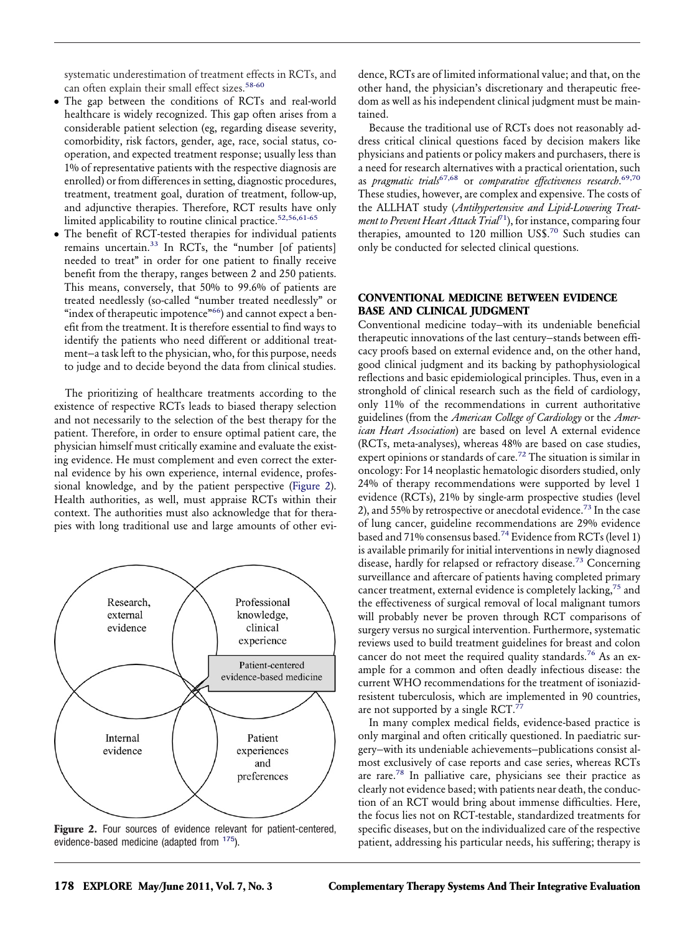systematic underestimation of treatment effects in RCTs, and can often explain their small effect sizes.<sup>58-60</sup>

- The gap between the conditions of RCTs and real-world healthcare is widely recognized. This gap often arises from a considerable patient selection (eg, regarding disease severity, comorbidity, risk factors, gender, age, race, social status, cooperation, and expected treatment response; usually less than 1% of representative patients with the respective diagnosis are enrolled) or from differences in setting, diagnostic procedures, treatment, treatment goal, duration of treatment, follow-up, and adjunctive therapies. Therefore, RCT results have only limited applicability to routine clinical practice.<sup>52,56,61-65</sup>
- The benefit of RCT-tested therapies for individual patients remains uncertain.<sup>33</sup> In RCTs, the "number [of patients] needed to treat" in order for one patient to finally receive benefit from the therapy, ranges between 2 and 250 patients. This means, conversely, that 50% to 99.6% of patients are treated needlessly (so-called "number treated needlessly" or "index of therapeutic impotence"<sup>66</sup>) and cannot expect a benefit from the treatment. It is therefore essential to find ways to identify the patients who need different or additional treatment—a task left to the physician, who, for this purpose, needs to judge and to decide beyond the data from clinical studies.

The prioritizing of healthcare treatments according to the existence of respective RCTs leads to biased therapy selection and not necessarily to the selection of the best therapy for the patient. Therefore, in order to ensure optimal patient care, the physician himself must critically examine and evaluate the existing evidence. He must complement and even correct the external evidence by his own experience, internal evidence, professional knowledge, and by the patient perspective [\(Figure 2\)](#page-3-0). Health authorities, as well, must appraise RCTs within their context. The authorities must also acknowledge that for therapies with long traditional use and large amounts of other evi-



<span id="page-3-0"></span>Figure 2. Four sources of evidence relevant for patient-centered, evidence-based medicine (adapted from [175\)](#page-12-0).

dence, RCTs are of limited informational value; and that, on the other hand, the physician's discretionary and therapeutic freedom as well as his independent clinical judgment must be maintained.

Because the traditional use of RCTs does not reasonably address critical clinical questions faced by decision makers like physicians and patients or policy makers and purchasers, there is a need for research alternatives with a practical orientation, such as *pragmatic trials*[67,68](#page-10-1) or *comparative effectiveness research*. [69,70](#page-10-2) These studies, however, are complex and expensive. The costs of the ALLHAT study (*Antihypertensive and Lipid-Lowering Treatment to Prevent Heart Attack Trial*<sup>71</sup>), for instance, comparing four therapies, amounted to 120 million US\$[.70](#page-10-4) Such studies can only be conducted for selected clinical questions.

## **CONVENTIONAL MEDICINE BETWEEN EVIDENCE BASE AND CLINICAL JUDGMENT**

Conventional medicine today—with its undeniable beneficial therapeutic innovations of the last century—stands between efficacy proofs based on external evidence and, on the other hand, good clinical judgment and its backing by pathophysiological reflections and basic epidemiological principles. Thus, even in a stronghold of clinical research such as the field of cardiology, only 11% of the recommendations in current authoritative guidelines (from the *American College of Cardiology* or the *American Heart Association*) are based on level A external evidence (RCTs, meta-analyses), whereas 48% are based on case studies, expert opinions or standards of care.<sup>72</sup> The situation is similar in oncology: For 14 neoplastic hematologic disorders studied, only 24% of therapy recommendations were supported by level 1 evidence (RCTs), 21% by single-arm prospective studies (level 2), and 55% by retrospective or anecdotal evidence.<sup>[73](#page-10-6)</sup> In the case of lung cancer, guideline recommendations are 29% evidence based and 71% consensus based.<sup>74</sup> Evidence from RCTs (level 1) is available primarily for initial interventions in newly diagnosed disease, hardly for relapsed or refractory disease[.73](#page-10-6) Concerning surveillance and aftercare of patients having completed primary cancer treatment, external evidence is completely lacking[,75](#page-10-8) and the effectiveness of surgical removal of local malignant tumors will probably never be proven through RCT comparisons of surgery versus no surgical intervention. Furthermore, systematic reviews used to build treatment guidelines for breast and colon cancer do not meet the required quality standards.<sup>76</sup> As an example for a common and often deadly infectious disease: the current WHO recommendations for the treatment of isoniazidresistent tuberculosis, which are implemented in 90 countries, are not supported by a single RCT.<sup>77</sup>

In many complex medical fields, evidence-based practice is only marginal and often critically questioned. In paediatric surgery—with its undeniable achievements—publications consist almost exclusively of case reports and case series, whereas RCTs are rare.[78](#page-10-11) In palliative care, physicians see their practice as clearly not evidence based; with patients near death, the conduction of an RCT would bring about immense difficulties. Here, the focus lies not on RCT-testable, standardized treatments for specific diseases, but on the individualized care of the respective patient, addressing his particular needs, his suffering; therapy is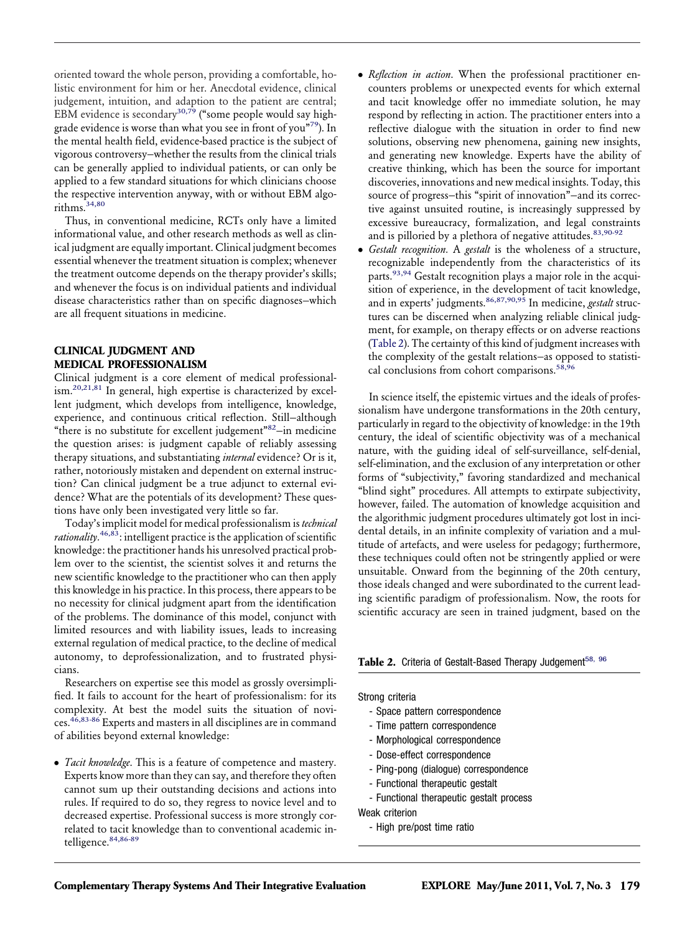oriented toward the whole person, providing a comfortable, holistic environment for him or her. Anecdotal evidence, clinical judgement, intuition, and adaption to the patient are central; EBM evidence is secondary<sup>30,79</sup> ("some people would say highgrade evidence is worse than what you see in front of you["79\)](#page-10-12). In the mental health field, evidence-based practice is the subject of vigorous controversy—whether the results from the clinical trials can be generally applied to individual patients, or can only be applied to a few standard situations for which clinicians choose the respective intervention anyway, with or without EBM algorithms[.34,80](#page-9-21)

Thus, in conventional medicine, RCTs only have a limited informational value, and other research methods as well as clinical judgment are equally important. Clinical judgment becomes essential whenever the treatment situation is complex; whenever the treatment outcome depends on the therapy provider's skills; and whenever the focus is on individual patients and individual disease characteristics rather than on specific diagnoses—which are all frequent situations in medicine.

## **CLINICAL JUDGMENT AND MEDICAL PROFESSIONALISM**

Clinical judgment is a core element of medical professionalism[.20,21,81](#page-9-3) In general, high expertise is characterized by excellent judgment, which develops from intelligence, knowledge, experience, and continuous critical reflection. Still—although "there is no substitute for excellent judgement["82—](#page-10-13)in medicine the question arises: is judgment capable of reliably assessing therapy situations, and substantiating *internal* evidence? Or is it, rather, notoriously mistaken and dependent on external instruction? Can clinical judgment be a true adjunct to external evidence? What are the potentials of its development? These questions have only been investigated very little so far.

Today's implicit model for medical professionalism is *technical rationality.*[46,83:](#page-9-22) intelligent practice is the application of scientific knowledge: the practitioner hands his unresolved practical problem over to the scientist, the scientist solves it and returns the new scientific knowledge to the practitioner who can then apply this knowledge in his practice. In this process, there appears to be no necessity for clinical judgment apart from the identification of the problems. The dominance of this model, conjunct with limited resources and with liability issues, leads to increasing external regulation of medical practice, to the decline of medical autonomy, to deprofessionalization, and to frustrated physicians.

Researchers on expertise see this model as grossly oversimplified. It fails to account for the heart of professionalism: for its complexity. At best the model suits the situation of novices.[46,83-86](#page-9-22) Experts and masters in all disciplines are in command of abilities beyond external knowledge:

● *Tacit knowledge*. This is a feature of competence and mastery. Experts know more than they can say, and therefore they often cannot sum up their outstanding decisions and actions into rules. If required to do so, they regress to novice level and to decreased expertise. Professional success is more strongly correlated to tacit knowledge than to conventional academic intelligence. 84,86-89

- *Reflection in action*. When the professional practitioner encounters problems or unexpected events for which external and tacit knowledge offer no immediate solution, he may respond by reflecting in action. The practitioner enters into a reflective dialogue with the situation in order to find new solutions, observing new phenomena, gaining new insights, and generating new knowledge. Experts have the ability of creative thinking, which has been the source for important discoveries, innovations and new medical insights. Today, this source of progress—this "spirit of innovation"—and its corrective against unsuited routine, is increasingly suppressed by excessive bureaucracy, formalization, and legal constraints and is pilloried by a plethora of negative attitudes.<sup>83,90-92</sup>
- *Gestalt recognition.* A *gestalt* is the wholeness of a structure, recognizable independently from the characteristics of its parts.<sup>93,94</sup> Gestalt recognition plays a major role in the acquisition of experience, in the development of tacit knowledge, and in experts' judgments[.86,87,90,95](#page-10-17) In medicine, *gestalt* structures can be discerned when analyzing reliable clinical judgment, for example, on therapy effects or on adverse reactions [\(Table 2\)](#page-4-0). The certainty of this kind of judgment increases with the complexity of the gestalt relations—as opposed to statistical conclusions from cohort comparisons.<sup>58,96</sup>

In science itself, the epistemic virtues and the ideals of professionalism have undergone transformations in the 20th century, particularly in regard to the objectivity of knowledge: in the 19th century, the ideal of scientific objectivity was of a mechanical nature, with the guiding ideal of self-surveillance, self-denial, self-elimination, and the exclusion of any interpretation or other forms of "subjectivity," favoring standardized and mechanical "blind sight" procedures. All attempts to extirpate subjectivity, however, failed. The automation of knowledge acquisition and the algorithmic judgment procedures ultimately got lost in incidental details, in an infinite complexity of variation and a multitude of artefacts, and were useless for pedagogy; furthermore, these techniques could often not be stringently applied or were unsuitable. Onward from the beginning of the 20th century, those ideals changed and were subordinated to the current leading scientific paradigm of professionalism. Now, the roots for scientific accuracy are seen in trained judgment, based on the

<span id="page-4-0"></span>Table 2. Criteria of Gestalt-Based Therapy Judgement<sup>[58, 96](#page-9-17)</sup>

Strong criteria

- Space pattern correspondence
- Time pattern correspondence
- Morphological correspondence
- Dose-effect correspondence
- Ping-pong (dialogue) correspondence
- Functional therapeutic gestalt
- Functional therapeutic gestalt process

Weak criterion

- High pre/post time ratio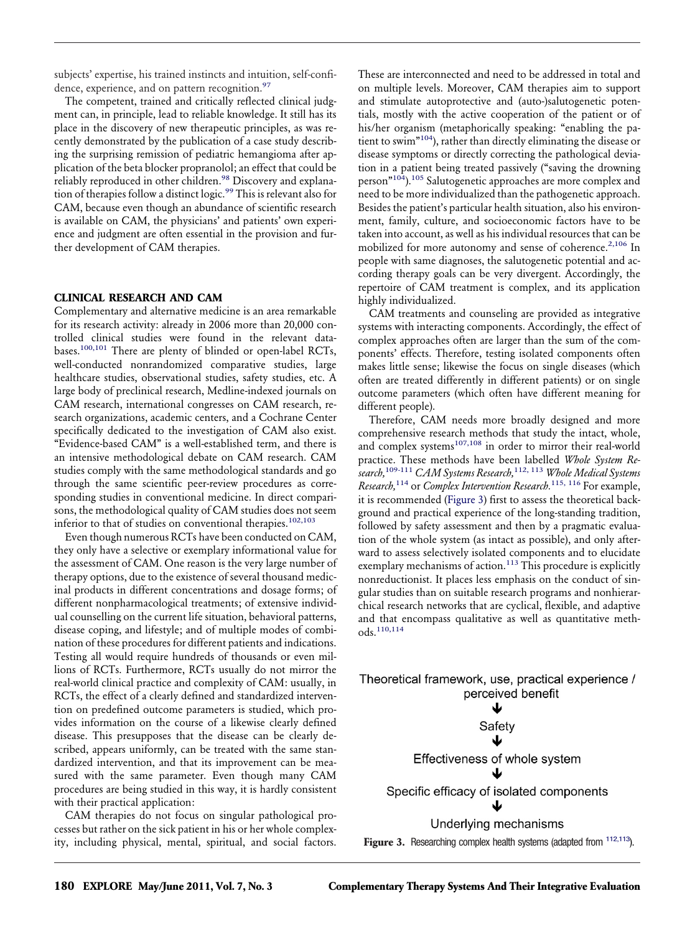subjects' expertise, his trained instincts and intuition, self-confidence, experience, and on pattern recognition.<sup>97</sup>

The competent, trained and critically reflected clinical judgment can, in principle, lead to reliable knowledge. It still has its place in the discovery of new therapeutic principles, as was recently demonstrated by the publication of a case study describing the surprising remission of pediatric hemangioma after application of the beta blocker propranolol; an effect that could be reliably reproduced in other children.<sup>98</sup> Discovery and explanation of therapies follow a distinct logic.<sup>99</sup> This is relevant also for CAM, because even though an abundance of scientific research is available on CAM, the physicians' and patients' own experience and judgment are often essential in the provision and further development of CAM therapies.

## **CLINICAL RESEARCH AND CAM**

Complementary and alternative medicine is an area remarkable for its research activity: already in 2006 more than 20,000 controlled clinical studies were found in the relevant databases[.100,101](#page-10-21) There are plenty of blinded or open-label RCTs, well-conducted nonrandomized comparative studies, large healthcare studies, observational studies, safety studies, etc. A large body of preclinical research, Medline-indexed journals on CAM research, international congresses on CAM research, research organizations, academic centers, and a Cochrane Center specifically dedicated to the investigation of CAM also exist. "Evidence-based CAM" is a well-established term, and there is an intensive methodological debate on CAM research. CAM studies comply with the same methodological standards and go through the same scientific peer-review procedures as corresponding studies in conventional medicine. In direct comparisons, the methodological quality of CAM studies does not seem inferior to that of studies on conventional therapies.<sup>102,103</sup>

Even though numerous RCTs have been conducted on CAM, they only have a selective or exemplary informational value for the assessment of CAM. One reason is the very large number of therapy options, due to the existence of several thousand medicinal products in different concentrations and dosage forms; of different nonpharmacological treatments; of extensive individual counselling on the current life situation, behavioral patterns, disease coping, and lifestyle; and of multiple modes of combination of these procedures for different patients and indications. Testing all would require hundreds of thousands or even millions of RCTs. Furthermore, RCTs usually do not mirror the real-world clinical practice and complexity of CAM: usually, in RCTs, the effect of a clearly defined and standardized intervention on predefined outcome parameters is studied, which provides information on the course of a likewise clearly defined disease. This presupposes that the disease can be clearly described, appears uniformly, can be treated with the same standardized intervention, and that its improvement can be measured with the same parameter. Even though many CAM procedures are being studied in this way, it is hardly consistent with their practical application:

CAM therapies do not focus on singular pathological processes but rather on the sick patient in his or her whole complexity, including physical, mental, spiritual, and social factors.

These are interconnected and need to be addressed in total and on multiple levels. Moreover, CAM therapies aim to support and stimulate autoprotective and (auto-)salutogenetic potentials, mostly with the active cooperation of the patient or of his/her organism (metaphorically speaking: "enabling the patient to swim"[104\)](#page-10-23), rather than directly eliminating the disease or disease symptoms or directly correcting the pathological deviation in a patient being treated passively ("saving the drowning person["104\)](#page-10-23)[.105](#page-10-24) Salutogenetic approaches are more complex and need to be more individualized than the pathogenetic approach. Besides the patient's particular health situation, also his environment, family, culture, and socioeconomic factors have to be taken into account, as well as his individual resources that can be mobilized for more autonomy and sense of coherence.<sup>[2,106](#page-8-2)</sup> In people with same diagnoses, the salutogenetic potential and according therapy goals can be very divergent. Accordingly, the repertoire of CAM treatment is complex, and its application highly individualized.

CAM treatments and counseling are provided as integrative systems with interacting components. Accordingly, the effect of complex approaches often are larger than the sum of the components' effects. Therefore, testing isolated components often makes little sense; likewise the focus on single diseases (which often are treated differently in different patients) or on single outcome parameters (which often have different meaning for different people).

Therefore, CAM needs more broadly designed and more comprehensive research methods that study the intact, whole, and complex systems<sup>[107,108](#page-10-25)</sup> in order to mirror their real-world practice. These methods have been labelled *Whole System Research,*[109-111](#page-10-26)*CAM Systems Research,*[112, 113](#page-10-27)*Whole Medical Systems Research,*[114](#page-11-1) or *Complex Intervention Research.*[115, 116](#page-11-2) For example, it is recommended [\(Figure 3\)](#page-5-0) first to assess the theoretical background and practical experience of the long-standing tradition, followed by safety assessment and then by a pragmatic evaluation of the whole system (as intact as possible), and only afterward to assess selectively isolated components and to elucidate exemplary mechanisms of action.<sup>113</sup> This procedure is explicitly nonreductionist. It places less emphasis on the conduct of singular studies than on suitable research programs and nonhierarchical research networks that are cyclical, flexible, and adaptive and that encompass qualitative as well as quantitative methods[.110,114](#page-10-28)

Theoretical framework, use, practical experience / perceived benefit J Safety

Effectiveness of whole system Specific efficacy of isolated components

Underlying mechanisms

<span id="page-5-0"></span>Figure 3. Researching complex health systems (adapted from <sup>112,113</sup>).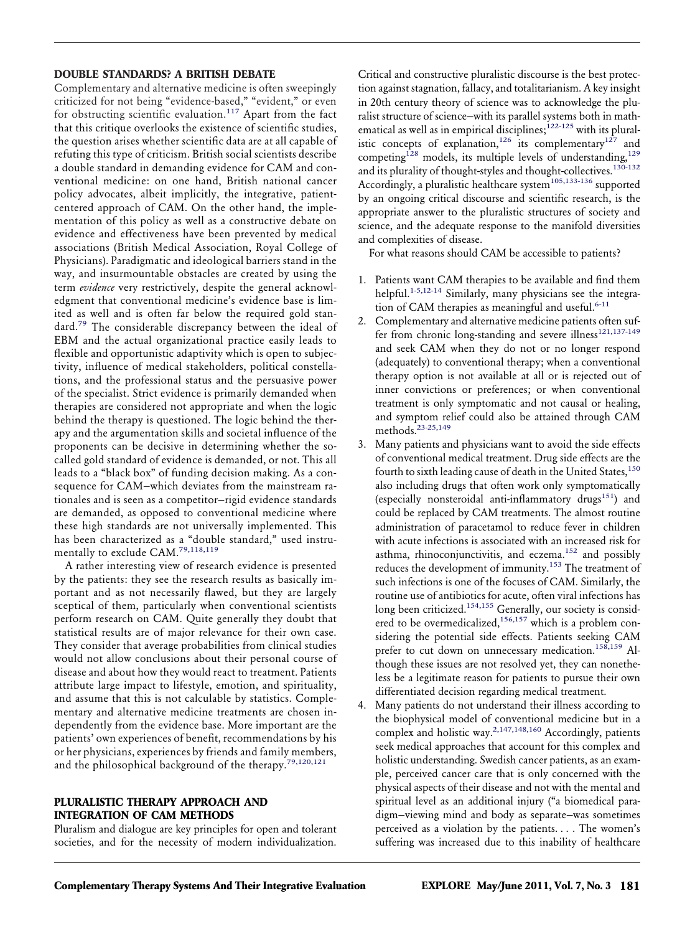#### **DOUBLE STANDARDS? A BRITISH DEBATE**

Complementary and alternative medicine is often sweepingly criticized for not being "evidence-based," "evident," or even for obstructing scientific evaluation.<sup>[117](#page-11-3)</sup> Apart from the fact that this critique overlooks the existence of scientific studies, the question arises whether scientific data are at all capable of refuting this type of criticism. British social scientists describe a double standard in demanding evidence for CAM and conventional medicine: on one hand, British national cancer policy advocates, albeit implicitly, the integrative, patientcentered approach of CAM. On the other hand, the implementation of this policy as well as a constructive debate on evidence and effectiveness have been prevented by medical associations (British Medical Association, Royal College of Physicians). Paradigmatic and ideological barriers stand in the way, and insurmountable obstacles are created by using the term *evidence* very restrictively, despite the general acknowledgment that conventional medicine's evidence base is limited as well and is often far below the required gold standard.[79](#page-10-12) The considerable discrepancy between the ideal of EBM and the actual organizational practice easily leads to flexible and opportunistic adaptivity which is open to subjectivity, influence of medical stakeholders, political constellations, and the professional status and the persuasive power of the specialist. Strict evidence is primarily demanded when therapies are considered not appropriate and when the logic behind the therapy is questioned. The logic behind the therapy and the argumentation skills and societal influence of the proponents can be decisive in determining whether the socalled gold standard of evidence is demanded, or not. This all leads to a "black box" of funding decision making. As a consequence for CAM—which deviates from the mainstream rationales and is seen as a competitor—rigid evidence standards are demanded, as opposed to conventional medicine where these high standards are not universally implemented. This has been characterized as a "double standard," used instrumentally to exclude CAM.[79,118,119](#page-10-12)

A rather interesting view of research evidence is presented by the patients: they see the research results as basically important and as not necessarily flawed, but they are largely sceptical of them, particularly when conventional scientists perform research on CAM. Quite generally they doubt that statistical results are of major relevance for their own case. They consider that average probabilities from clinical studies would not allow conclusions about their personal course of disease and about how they would react to treatment. Patients attribute large impact to lifestyle, emotion, and spirituality, and assume that this is not calculable by statistics. Complementary and alternative medicine treatments are chosen independently from the evidence base. More important are the patients' own experiences of benefit, recommendations by his or her physicians, experiences by friends and family members, and the philosophical background of the therapy.[79,120,121](#page-10-12)

## **PLURALISTIC THERAPY APPROACH AND INTEGRATION OF CAM METHODS**

Pluralism and dialogue are key principles for open and tolerant societies, and for the necessity of modern individualization.

Critical and constructive pluralistic discourse is the best protection against stagnation, fallacy, and totalitarianism. A key insight in 20th century theory of science was to acknowledge the pluralist structure of science—with its parallel systems both in math-ematical as well as in empirical disciplines;<sup>[122-125](#page-11-4)</sup> with its plural-istic concepts of explanation,<sup>[126](#page-11-5)</sup> its complementary<sup>[127](#page-11-6)</sup> and competing<sup>128</sup> models, its multiple levels of understanding, $129$ and its plurality of thought-styles and thought-collectives.<sup>130-132</sup> Accordingly, a pluralistic healthcare system<sup>105,133-136</sup> supported by an ongoing critical discourse and scientific research, is the appropriate answer to the pluralistic structures of society and science, and the adequate response to the manifold diversities and complexities of disease.

For what reasons should CAM be accessible to patients?

- 1. Patients want CAM therapies to be available and find them helpful.<sup>[1-5,12-14](#page-8-0)</sup> Similarly, many physicians see the integration of CAM therapies as meaningful and useful. $6-11$
- 2. Complementary and alternative medicine patients often suffer from chronic long-standing and severe illness<sup>121,137-149</sup> and seek CAM when they do not or no longer respond (adequately) to conventional therapy; when a conventional therapy option is not available at all or is rejected out of inner convictions or preferences; or when conventional treatment is only symptomatic and not causal or healing, and symptom relief could also be attained through CAM methods[.23-25,149](#page-9-5)
- 3. Many patients and physicians want to avoid the side effects of conventional medical treatment. Drug side effects are the fourth to sixth leading cause of death in the United States,<sup>150</sup> also including drugs that often work only symptomatically (especially nonsteroidal anti-inflammatory drugs $^{151}$ ) and could be replaced by CAM treatments. The almost routine administration of paracetamol to reduce fever in children with acute infections is associated with an increased risk for asthma, rhinoconjunctivitis, and eczema[.152](#page-11-13) and possibly reduces the development of immunity.[153](#page-11-14) The treatment of such infections is one of the focuses of CAM. Similarly, the routine use of antibiotics for acute, often viral infections has long been criticized.<sup>154,155</sup> Generally, our society is consid-ered to be overmedicalized,<sup>[156,157](#page-12-1)</sup> which is a problem considering the potential side effects. Patients seeking CAM prefer to cut down on unnecessary medication.<sup>158,159</sup> Although these issues are not resolved yet, they can nonetheless be a legitimate reason for patients to pursue their own differentiated decision regarding medical treatment.
- 4. Many patients do not understand their illness according to the biophysical model of conventional medicine but in a complex and holistic way.<sup>[2,147,148,160](#page-8-2)</sup> Accordingly, patients seek medical approaches that account for this complex and holistic understanding. Swedish cancer patients, as an example, perceived cancer care that is only concerned with the physical aspects of their disease and not with the mental and spiritual level as an additional injury ("a biomedical paradigm—viewing mind and body as separate—was sometimes perceived as a violation by the patients. . . . The women's suffering was increased due to this inability of healthcare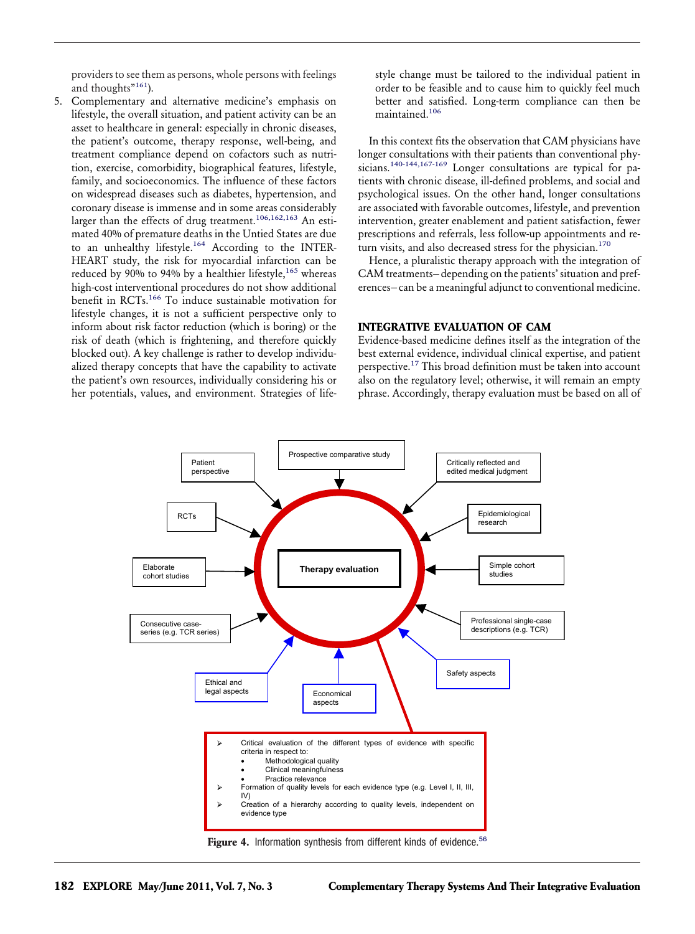providers to see them as persons, whole persons with feelings and thoughts"<sup>161</sup>).

5. Complementary and alternative medicine's emphasis on lifestyle, the overall situation, and patient activity can be an asset to healthcare in general: especially in chronic diseases, the patient's outcome, therapy response, well-being, and treatment compliance depend on cofactors such as nutrition, exercise, comorbidity, biographical features, lifestyle, family, and socioeconomics. The influence of these factors on widespread diseases such as diabetes, hypertension, and coronary disease is immense and in some areas considerably larger than the effects of drug treatment.<sup>106,162,163</sup> An estimated 40% of premature deaths in the Untied States are due to an unhealthy lifestyle.<sup>[164](#page-12-4)</sup> According to the INTER-HEART study, the risk for myocardial infarction can be reduced by 90% to 94% by a healthier lifestyle,  $165$  whereas high-cost interventional procedures do not show additional benefit in RCTs[.166](#page-12-6) To induce sustainable motivation for lifestyle changes, it is not a sufficient perspective only to inform about risk factor reduction (which is boring) or the risk of death (which is frightening, and therefore quickly blocked out). A key challenge is rather to develop individualized therapy concepts that have the capability to activate the patient's own resources, individually considering his or her potentials, values, and environment. Strategies of lifestyle change must be tailored to the individual patient in order to be feasible and to cause him to quickly feel much better and satisfied. Long-term compliance can then be maintained.[106](#page-10-29)

In this context fits the observation that CAM physicians have longer consultations with their patients than conventional physicians.<sup>140-144,167-169</sup> Longer consultations are typical for patients with chronic disease, ill-defined problems, and social and psychological issues. On the other hand, longer consultations are associated with favorable outcomes, lifestyle, and prevention intervention, greater enablement and patient satisfaction, fewer prescriptions and referrals, less follow-up appointments and return visits, and also decreased stress for the physician.<sup>170</sup>

Hence, a pluralistic therapy approach with the integration of CAM treatments— depending on the patients' situation and preferences— can be a meaningful adjunct to conventional medicine.

## **INTEGRATIVE EVALUATION OF CAM**

Evidence-based medicine defines itself as the integration of the best external evidence, individual clinical expertise, and patient perspective[.17](#page-9-1) This broad definition must be taken into account also on the regulatory level; otherwise, it will remain an empty phrase. Accordingly, therapy evaluation must be based on all of



<span id="page-7-0"></span>Figure 4. Information synthesis from different kinds of evidence.<sup>56</sup>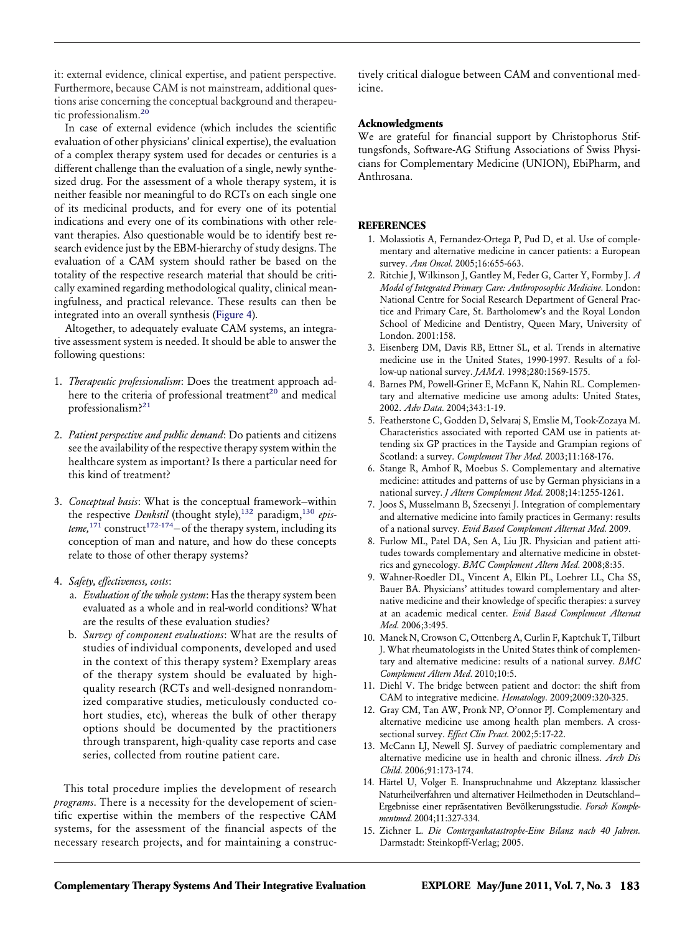it: external evidence, clinical expertise, and patient perspective. Furthermore, because CAM is not mainstream, additional questions arise concerning the conceptual background and therapeutic professionalism[.20](#page-9-3)

In case of external evidence (which includes the scientific evaluation of other physicians' clinical expertise), the evaluation of a complex therapy system used for decades or centuries is a different challenge than the evaluation of a single, newly synthesized drug. For the assessment of a whole therapy system, it is neither feasible nor meaningful to do RCTs on each single one of its medicinal products, and for every one of its potential indications and every one of its combinations with other relevant therapies. Also questionable would be to identify best research evidence just by the EBM-hierarchy of study designs. The evaluation of a CAM system should rather be based on the totality of the respective research material that should be critically examined regarding methodological quality, clinical meaningfulness, and practical relevance. These results can then be integrated into an overall synthesis [\(Figure 4\)](#page-7-0).

Altogether, to adequately evaluate CAM systems, an integrative assessment system is needed. It should be able to answer the following questions:

- 1. *Therapeutic professionalism*: Does the treatment approach ad-here to the criteria of professional treatment<sup>[20](#page-9-3)</sup> and medical professionalism?[21](#page-9-23)
- 2. *Patient perspective and public demand*: Do patients and citizens see the availability of the respective therapy system within the healthcare system as important? Is there a particular need for this kind of treatment?
- 3. *Conceptual basis*: What is the conceptual framework—within the respective *Denkstil* (thought style),<sup>132</sup> paradigm,<sup>130</sup> epis*teme*,<sup>[171](#page-12-8)</sup> construct<sup>172-174</sup> – of the therapy system, including its conception of man and nature, and how do these concepts relate to those of other therapy systems?
- 4. *Safety, effectiveness, costs*:
	- a. *Evaluation of the whole system*: Has the therapy system been evaluated as a whole and in real-world conditions? What are the results of these evaluation studies?
	- b. *Survey of component evaluations*: What are the results of studies of individual components, developed and used in the context of this therapy system? Exemplary areas of the therapy system should be evaluated by highquality research (RCTs and well-designed nonrandomized comparative studies, meticulously conducted cohort studies, etc), whereas the bulk of other therapy options should be documented by the practitioners through transparent, high-quality case reports and case series, collected from routine patient care.

This total procedure implies the development of research *programs*. There is a necessity for the developement of scientific expertise within the members of the respective CAM systems, for the assessment of the financial aspects of the necessary research projects, and for maintaining a constructively critical dialogue between CAM and conventional medicine.

#### **Acknowledgments**

We are grateful for financial support by Christophorus Stiftungsfonds, Software-AG Stiftung Associations of Swiss Physicians for Complementary Medicine (UNION), EbiPharm, and Anthrosana.

#### <span id="page-8-0"></span>**REFERENCES**

- 1. Molassiotis A, Fernandez-Ortega P, Pud D, et al. Use of complementary and alternative medicine in cancer patients: a European survey. *Ann Oncol.* 2005;16:655-663.
- <span id="page-8-2"></span>2. Ritchie J, Wilkinson J, Gantley M, Feder G, Carter Y, Formby J. *A Model of Integrated Primary Care: Anthroposophic Medicine.* London: National Centre for Social Research Department of General Practice and Primary Care, St. Bartholomew's and the Royal London School of Medicine and Dentistry, Queen Mary, University of London. 2001:158.
- 3. Eisenberg DM, Davis RB, Ettner SL, et al. Trends in alternative medicine use in the United States, 1990-1997. Results of a follow-up national survey. *JAMA.* 1998;280:1569-1575.
- 4. Barnes PM, Powell-Griner E, McFann K, Nahin RL. Complementary and alternative medicine use among adults: United States, 2002. *Adv Data.* 2004;343:1-19.
- 5. Featherstone C, Godden D, Selvaraj S, Emslie M, Took-Zozaya M. Characteristics associated with reported CAM use in patients attending six GP practices in the Tayside and Grampian regions of Scotland: a survey. *Complement Ther Med.* 2003;11:168-176.
- <span id="page-8-3"></span>6. Stange R, Amhof R, Moebus S. Complementary and alternative medicine: attitudes and patterns of use by German physicians in a national survey. *J Altern Complement Med.* 2008;14:1255-1261.
- 7. Joos S, Musselmann B, Szecsenyi J. Integration of complementary and alternative medicine into family practices in Germany: results of a national survey. *Evid Based Complement Alternat Med.* 2009.
- 8. Furlow ML, Patel DA, Sen A, Liu JR. Physician and patient attitudes towards complementary and alternative medicine in obstetrics and gynecology. *BMC Complement Altern Med.* 2008;8:35.
- 9. Wahner-Roedler DL, Vincent A, Elkin PL, Loehrer LL, Cha SS, Bauer BA. Physicians' attitudes toward complementary and alternative medicine and their knowledge of specific therapies: a survey at an academic medical center. *Evid Based Complement Alternat Med.* 2006;3:495.
- 10. Manek N, Crowson C, Ottenberg A, Curlin F, Kaptchuk T, Tilburt J. What rheumatologists in the United States think of complementary and alternative medicine: results of a national survey. *BMC Complement Altern Med.* 2010;10:5.
- 11. Diehl V. The bridge between patient and doctor: the shift from CAM to integrative medicine. *Hematology.* 2009;2009:320-325.
- 12. Gray CM, Tan AW, Pronk NP, O'onnor PJ. Complementary and alternative medicine use among health plan members. A crosssectional survey. *Effect Clin Pract.* 2002;5:17-22.
- 13. McCann LJ, Newell SJ. Survey of paediatric complementary and alternative medicine use in health and chronic illness. *Arch Dis Child.* 2006;91:173-174.
- 14. Härtel U, Volger E. Inanspruchnahme und Akzeptanz klassischer Naturheilverfahren und alternativer Heilmethoden in Deutschland— Ergebnisse einer repräsentativen Bevölkerungsstudie. *Forsch Komplementmed.* 2004;11:327-334.
- <span id="page-8-1"></span>15. Zichner L. *Die Contergankatastrophe-Eine Bilanz nach 40 Jahren.* Darmstadt: Steinkopff-Verlag; 2005.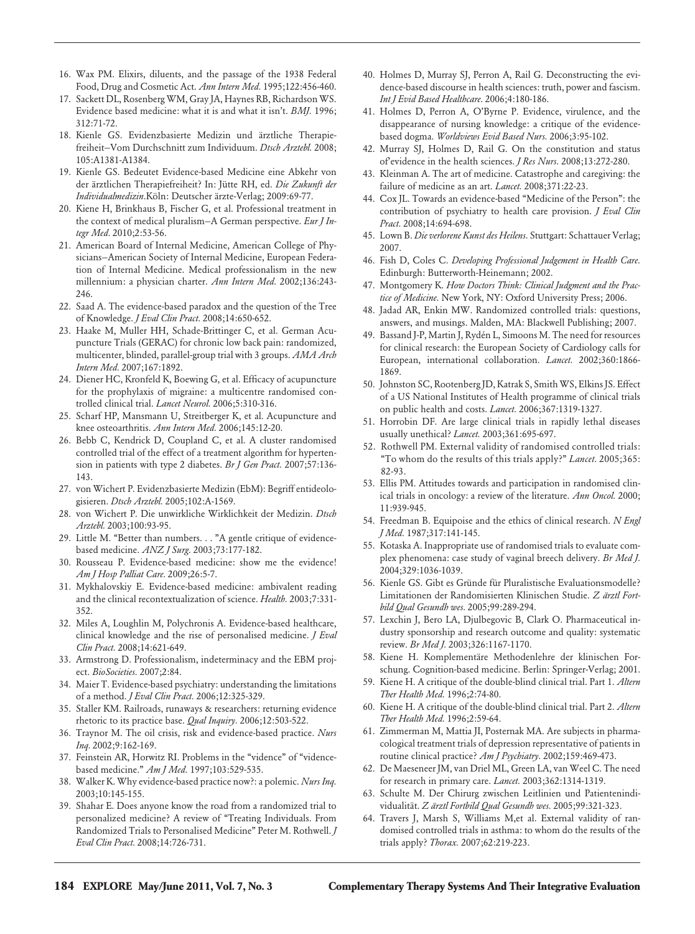- <span id="page-9-0"></span>16. Wax PM. Elixirs, diluents, and the passage of the 1938 Federal Food, Drug and Cosmetic Act. *Ann Intern Med.* 1995;122:456-460.
- <span id="page-9-1"></span>17. Sackett DL, Rosenberg WM, Gray JA, Haynes RB, Richardson WS. Evidence based medicine: what it is and what it isn't. *BMJ.* 1996; 312:71-72.
- <span id="page-9-2"></span>18. Kienle GS. Evidenzbasierte Medizin und ärztliche Therapiefreiheit—Vom Durchschnitt zum Individuum. *Dtsch Arztebl.* 2008; 105:A1381-A1384.
- 19. Kienle GS. Bedeutet Evidence-based Medicine eine Abkehr von der ärztlichen Therapiefreiheit? In: Jütte RH, ed. *Die Zukunft der Individualmedizin*.Köln: Deutscher ärzte-Verlag; 2009:69-77.
- <span id="page-9-3"></span>20. Kiene H, Brinkhaus B, Fischer G, et al. Professional treatment in the context of medical pluralism—A German perspective. *Eur J Integr Med.* 2010;2:53-56.
- <span id="page-9-23"></span>21. American Board of Internal Medicine, American College of Physicians—American Society of Internal Medicine, European Federation of Internal Medicine. Medical professionalism in the new millennium: a physician charter. *Ann Intern Med.* 2002;136:243- 246.
- <span id="page-9-5"></span><span id="page-9-4"></span>22. Saad A. The evidence-based paradox and the question of the Tree of Knowledge. *J Eval Clin Pract.* 2008;14:650-652.
- 23. Haake M, Muller HH, Schade-Brittinger C, et al. German Acupuncture Trials (GERAC) for chronic low back pain: randomized, multicenter, blinded, parallel-group trial with 3 groups. *AMA Arch Intern Med.* 2007;167:1892.
- 24. Diener HC, Kronfeld K, Boewing G, et al. Efficacy of acupuncture for the prophylaxis of migraine: a multicentre randomised controlled clinical trial. *Lancet Neurol.* 2006;5:310-316.
- 25. Scharf HP, Mansmann U, Streitberger K, et al. Acupuncture and knee osteoarthritis. *Ann Intern Med.* 2006;145:12-20.
- <span id="page-9-6"></span>26. Bebb C, Kendrick D, Coupland C, et al. A cluster randomised controlled trial of the effect of a treatment algorithm for hypertension in patients with type 2 diabetes. *Br J Gen Pract.* 2007;57:136- 143.
- 27. von Wichert P. Evidenzbasierte Medizin (EbM): Begriff entideologisieren. *Dtsch Arztebl.* 2005;102:A-1569.
- 28. von Wichert P. Die unwirkliche Wirklichkeit der Medizin. *Dtsch Arztebl.* 2003;100:93-95.
- <span id="page-9-20"></span>29. Little M. "Better than numbers. . . "A gentle critique of evidencebased medicine. *ANZ J Surg.* 2003;73:177-182.
- 30. Rousseau P. Evidence-based medicine: show me the evidence! *Am J Hosp Palliat Care.* 2009;26:5-7.
- 31. Mykhalovskiy E. Evidence-based medicine: ambivalent reading and the clinical recontextualization of science. *Health.* 2003;7:331- 352.
- 32. Miles A, Loughlin M, Polychronis A. Evidence-based healthcare, clinical knowledge and the rise of personalised medicine. *J Eval Clin Pract.* 2008;14:621-649.
- <span id="page-9-21"></span><span id="page-9-19"></span>33. Armstrong D. Professionalism, indeterminacy and the EBM project. *BioSocieties.* 2007;2:84.
- 34. Maier T. Evidence-based psychiatry: understanding the limitations of a method. *J Eval Clin Pract.* 2006;12:325-329.
- 35. Staller KM. Railroads, runaways & researchers: returning evidence rhetoric to its practice base. *Qual Inquiry.* 2006;12:503-522.
- 36. Traynor M. The oil crisis, risk and evidence-based practice. *Nurs Inq.* 2002;9:162-169.
- 37. Feinstein AR, Horwitz RI. Problems in the "vidence" of "videncebased medicine." *Am J Med.* 1997;103:529-535.
- 38. Walker K. Why evidence-based practice now?: a polemic. *Nurs Inq.* 2003;10:145-155.
- 39. Shahar E. Does anyone know the road from a randomized trial to personalized medicine? A review of "Treating Individuals. From Randomized Trials to Personalised Medicine" Peter M. Rothwell. *J Eval Clin Pract.* 2008;14:726-731.
- 40. Holmes D, Murray SJ, Perron A, Rail G. Deconstructing the evidence-based discourse in health sciences: truth, power and fascism. *Int J Evid Based Healthcare.* 2006;4:180-186.
- 41. Holmes D, Perron A, O'Byrne P. Evidence, virulence, and the disappearance of nursing knowledge: a critique of the evidencebased dogma. *Worldviews Evid Based Nurs.* 2006;3:95-102.
- 42. Murray SJ, Holmes D, Rail G. On the constitution and status of'evidence in the health sciences. *J Res Nurs.* 2008;13:272-280.
- <span id="page-9-7"></span>43. Kleinman A. The art of medicine. Catastrophe and caregiving: the failure of medicine as an art. *Lancet.* 2008;371:22-23.
- 44. Cox JL. Towards an evidence-based "Medicine of the Person": the contribution of psychiatry to health care provision. *J Eval Clin Pract.* 2008;14:694-698.
- <span id="page-9-22"></span>45. Lown B. *Die verlorene Kunst des Heilens.* Stuttgart: Schattauer Verlag; 2007.
- 46. Fish D, Coles C. *Developing Professional Judgement in Health Care.* Edinburgh: Butterworth-Heinemann; 2002.
- <span id="page-9-8"></span>47. Montgomery K. *How Doctors Think: Clinical Judgment and the Practice of Medicine.* New York, NY: Oxford University Press; 2006.
- <span id="page-9-9"></span>48. Jadad AR, Enkin MW. Randomized controlled trials: questions, answers, and musings. Malden, MA: Blackwell Publishing; 2007.
- 49. Bassand J-P, Martin J, Rydén L, Simoons M. The need for resources for clinical research: the European Society of Cardiology calls for European, international collaboration. *Lancet.* 2002;360:1866- 1869.
- <span id="page-9-10"></span>50. Johnston SC, Rootenberg JD, Katrak S, Smith WS, Elkins JS. Effect of a US National Institutes of Health programme of clinical trials on public health and costs. *Lancet.* 2006;367:1319-1327.
- <span id="page-9-18"></span><span id="page-9-11"></span>51. Horrobin DF. Are large clinical trials in rapidly lethal diseases usually unethical? *Lancet.* 2003;361:695-697.
- 52. Rothwell PM. External validity of randomised controlled trials: "To whom do the results of this trials apply?" *Lancet.* 2005;365: 82-93.
- <span id="page-9-12"></span>53. Ellis PM. Attitudes towards and participation in randomised clinical trials in oncology: a review of the literature. *Ann Oncol.* 2000; 11:939-945.
- <span id="page-9-14"></span><span id="page-9-13"></span>54. Freedman B. Equipoise and the ethics of clinical research. *N Engl J Med.* 1987;317:141-145.
- 55. Kotaska A. Inappropriate use of randomised trials to evaluate complex phenomena: case study of vaginal breech delivery. *Br Med J.* 2004;329:1036-1039.
- <span id="page-9-15"></span>56. Kienle GS. Gibt es Gründe für Pluralistische Evaluationsmodelle? Limitationen der Randomisierten Klinischen Studie. *Z ärztl Fortbild Qual Gesundh wes.* 2005;99:289-294.
- <span id="page-9-16"></span>57. Lexchin J, Bero LA, Djulbegovic B, Clark O. Pharmaceutical industry sponsorship and research outcome and quality: systematic review. *Br Med J.* 2003;326:1167-1170.
- <span id="page-9-17"></span>58. Kiene H. Komplementäre Methodenlehre der klinischen Forschung. Cognition-based medicine. Berlin: Springer-Verlag; 2001.
- 59. Kiene H. A critique of the double-blind clinical trial. Part 1. *Altern Ther Health Med.* 1996;2:74-80.
- 60. Kiene H. A critique of the double-blind clinical trial. Part 2. *Altern Ther Health Med.* 1996;2:59-64.
- 61. Zimmerman M, Mattia JI, Posternak MA. Are subjects in pharmacological treatment trials of depression representative of patients in routine clinical practice? *Am J Psychiatry.* 2002;159:469-473.
- 62. De Maeseneer JM, van Driel ML, Green LA, van Weel C. The need for research in primary care. *Lancet.* 2003;362:1314-1319.
- 63. Schulte M. Der Chirurg zwischen Leitlinien und Patientenindividualität. *Z ärztl Fortbild Qual Gesundh wes.* 2005;99:321-323.
- 64. Travers J, Marsh S, Williams M,et al. External validity of randomised controlled trials in asthma: to whom do the results of the trials apply? *Thorax.* 2007;62:219-223.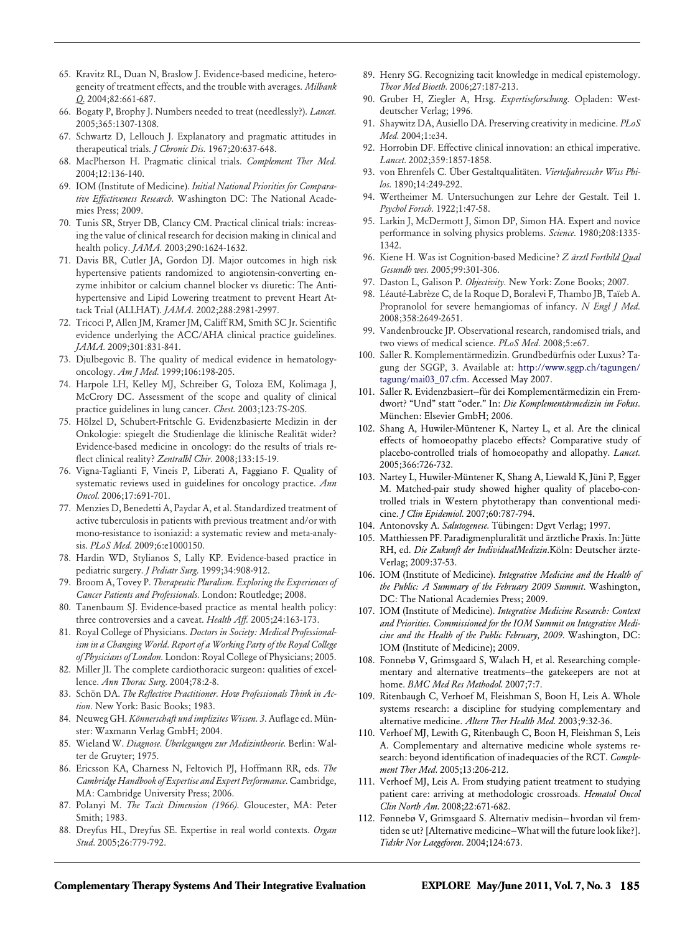- 65. Kravitz RL, Duan N, Braslow J. Evidence-based medicine, heterogeneity of treatment effects, and the trouble with averages. *Milbank Q.* 2004;82:661-687.
- <span id="page-10-0"></span>66. Bogaty P, Brophy J. Numbers needed to treat (needlessly?). *Lancet.* 2005;365:1307-1308.
- <span id="page-10-1"></span>67. Schwartz D, Lellouch J. Explanatory and pragmatic attitudes in therapeutical trials. *J Chronic Dis.* 1967;20:637-648.
- 68. MacPherson H. Pragmatic clinical trials. *Complement Ther Med.* 2004;12:136-140.
- <span id="page-10-2"></span>69. IOM (Institute of Medicine). *Initial National Priorities for Comparative Effectiveness Research.* Washington DC: The National Academies Press; 2009.
- <span id="page-10-4"></span>70. Tunis SR, Stryer DB, Clancy CM. Practical clinical trials: increasing the value of clinical research for decision making in clinical and health policy. *JAMA.* 2003;290:1624-1632.
- <span id="page-10-3"></span>71. Davis BR, Cutler JA, Gordon DJ. Major outcomes in high risk hypertensive patients randomized to angiotensin-converting enzyme inhibitor or calcium channel blocker vs diuretic: The Antihypertensive and Lipid Lowering treatment to prevent Heart Attack Trial (ALLHAT). *JAMA.* 2002;288:2981-2997.
- <span id="page-10-5"></span>72. Tricoci P, Allen JM, Kramer JM, Califf RM, Smith SC Jr. Scientific evidence underlying the ACC/AHA clinical practice guidelines. *JAMA.* 2009;301:831-841.
- <span id="page-10-7"></span><span id="page-10-6"></span>73. Djulbegovic B. The quality of medical evidence in hematologyoncology. *Am J Med.* 1999;106:198-205.
- 74. Harpole LH, Kelley MJ, Schreiber G, Toloza EM, Kolimaga J, McCrory DC. Assessment of the scope and quality of clinical practice guidelines in lung cancer. *Chest.* 2003;123:7S-20S.
- <span id="page-10-8"></span>75. Hölzel D, Schubert-Fritschle G. Evidenzbasierte Medizin in der Onkologie: spiegelt die Studienlage die klinische Realität wider? Evidence-based medicine in oncology: do the results of trials reflect clinical reality? *Zentralbl Chir.* 2008;133:15-19.
- <span id="page-10-9"></span>76. Vigna-Taglianti F, Vineis P, Liberati A, Faggiano F. Quality of systematic reviews used in guidelines for oncology practice. *Ann Oncol.* 2006;17:691-701.
- <span id="page-10-10"></span>77. Menzies D, Benedetti A, Paydar A, et al. Standardized treatment of active tuberculosis in patients with previous treatment and/or with mono-resistance to isoniazid: a systematic review and meta-analysis. *PLoS Med.* 2009;6:e1000150.
- <span id="page-10-12"></span><span id="page-10-11"></span>78. Hardin WD, Stylianos S, Lally KP. Evidence-based practice in pediatric surgery. *J Pediatr Surg.* 1999;34:908-912.
- 79. Broom A, Tovey P. *Therapeutic Pluralism. Exploring the Experiences of Cancer Patients and Professionals.* London: Routledge; 2008.
- 80. Tanenbaum SJ. Evidence-based practice as mental health policy: three controversies and a caveat. *Health Aff.* 2005;24:163-173.
- 81. Royal College of Physicians. *Doctors in Society: Medical Professionalism in a Changing World. Report of a Working Party of the Royal College of Physicians of London.* London: Royal College of Physicians; 2005.
- <span id="page-10-15"></span><span id="page-10-13"></span>82. Miller JI. The complete cardiothoracic surgeon: qualities of excellence. *Ann Thorac Surg.* 2004;78:2-8.
- <span id="page-10-14"></span>83. Schön DA. *The Reflective Practitioner. How Professionals Think in Action.* New York: Basic Books; 1983.
- 84. Neuweg GH. *Könnerschaft und implizites Wissen. 3.* Auflage ed. Münster: Waxmann Verlag GmbH; 2004.
- <span id="page-10-17"></span>85. Wieland W. *Diagnose. Überlegungen zur Medizintheorie*. Berlin: Walter de Gruyter; 1975.
- 86. Ericsson KA, Charness N, Feltovich PJ, Hoffmann RR, eds. *The Cambridge Handbook of Expertise and Expert Performance.* Cambridge, MA: Cambridge University Press; 2006.
- 87. Polanyi M. *The Tacit Dimension (1966).* Gloucester, MA: Peter Smith; 1983.
- 88. Dreyfus HL, Dreyfus SE. Expertise in real world contexts. *Organ Stud.* 2005;26:779-792.
- 89. Henry SG. Recognizing tacit knowledge in medical epistemology. *Theor Med Bioeth.* 2006;27:187-213.
- 90. Gruber H, Ziegler A, Hrsg. *Expertiseforschung.* Opladen: Westdeutscher Verlag; 1996.
- 91. Shaywitz DA, Ausiello DA. Preserving creativity in medicine. *PLoS Med.* 2004;1:e34.
- <span id="page-10-16"></span>92. Horrobin DF. Effective clinical innovation: an ethical imperative. *Lancet.* 2002;359:1857-1858.
- 93. von Ehrenfels C. Über Gestaltqualitäten. Vierteljahresschr Wiss Phi*los.* 1890;14:249-292.
- 94. Wertheimer M. Untersuchungen zur Lehre der Gestalt. Teil 1. *Psychol Forsch.* 1922;1:47-58.
- 95. Larkin J, McDermott J, Simon DP, Simon HA. Expert and novice performance in solving physics problems. *Science.* 1980;208:1335- 1342.
- 96. Kiene H. Was ist Cognition-based Medicine? *Z ärztl Fortbild Qual Gesundh wes.* 2005;99:301-306.
- <span id="page-10-19"></span><span id="page-10-18"></span>97. Daston L, Galison P. *Objectivity.* New York: Zone Books; 2007.
- 98. Léauté-Labrèze C, de la Roque D, Boralevi F, Thambo JB, Taïeb A. Propranolol for severe hemangiomas of infancy. *N Engl J Med.* 2008;358:2649-2651.
- <span id="page-10-20"></span>99. Vandenbroucke JP. Observational research, randomised trials, and two views of medical science. *PLoS Med.* 2008;5:e67.
- <span id="page-10-21"></span>100. Saller R. Komplementärmedizin. Grundbedürfnis oder Luxus? Tagung der SGGP, 3. Available at: [http://www.sggp.ch/tagungen/](http://www.sggp.ch/tagungen/tagung/mai03_07.cfm) [tagung/mai03\\_07.cfm.](http://www.sggp.ch/tagungen/tagung/mai03_07.cfm) Accessed May 2007.
- 101. Saller R. Evidenzbasiert—für dei Komplementärmedizin ein Fremdwort? "Und" statt "oder." In: *Die Komplementärmedizin im Fokus.* München: Elsevier GmbH; 2006.
- <span id="page-10-22"></span>102. Shang A, Huwiler-Müntener K, Nartey L, et al. Are the clinical effects of homoeopathy placebo effects? Comparative study of placebo-controlled trials of homoeopathy and allopathy. *Lancet.* 2005;366:726-732.
- 103. Nartey L, Huwiler-Müntener K, Shang A, Liewald K, Jüni P, Egger M. Matched-pair study showed higher quality of placebo-controlled trials in Western phytotherapy than conventional medicine. *J Clin Epidemiol.* 2007;60:787-794.
- <span id="page-10-24"></span><span id="page-10-23"></span>104. Antonovsky A. *Salutogenese.* Tübingen: Dgvt Verlag; 1997.
- 105. Matthiessen PF. Paradigmenpluralität und ärztliche Praxis. In: Jütte RH, ed. *Die Zukunft der IndividualMedizin*.Köln: Deutscher ärzte-Verlag; 2009:37-53.
- <span id="page-10-29"></span>106. IOM (Institute of Medicine). *Integrative Medicine and the Health of the Public: A Summary of the February 2009 Summit*. Washington, DC: The National Academies Press; 2009.
- <span id="page-10-25"></span>107. IOM (Institute of Medicine). *Integrative Medicine Research: Context and Priorities. Commissioned for the IOM Summit on Integrative Medicine and the Health of the Public February, 2009*. Washington, DC: IOM (Institute of Medicine); 2009.
- 108. Fonnebø V, Grimsgaard S, Walach H, et al. Researching complementary and alternative treatments—the gatekeepers are not at home. *BMC Med Res Methodol.* 2007;7:7.
- <span id="page-10-26"></span>109. Ritenbaugh C, Verhoef M, Fleishman S, Boon H, Leis A. Whole systems research: a discipline for studying complementary and alternative medicine. *Altern Ther Health Med.* 2003;9:32-36.
- <span id="page-10-28"></span>110. Verhoef MJ, Lewith G, Ritenbaugh C, Boon H, Fleishman S, Leis A. Complementary and alternative medicine whole systems research: beyond identification of inadequacies of the RCT. *Complement Ther Med.* 2005;13:206-212.
- <span id="page-10-27"></span>111. Verhoef MJ, Leis A. From studying patient treatment to studying patient care: arriving at methodologic crossroads. *Hematol Oncol Clin North Am.* 2008;22:671-682.
- 112. Fønnebø V, Grimsgaard S. Alternativ medisin— hvordan vil fremtiden se ut? [Alternative medicine—What will the future look like?]. *Tidskr Nor Laegeforen*. 2004;124:673.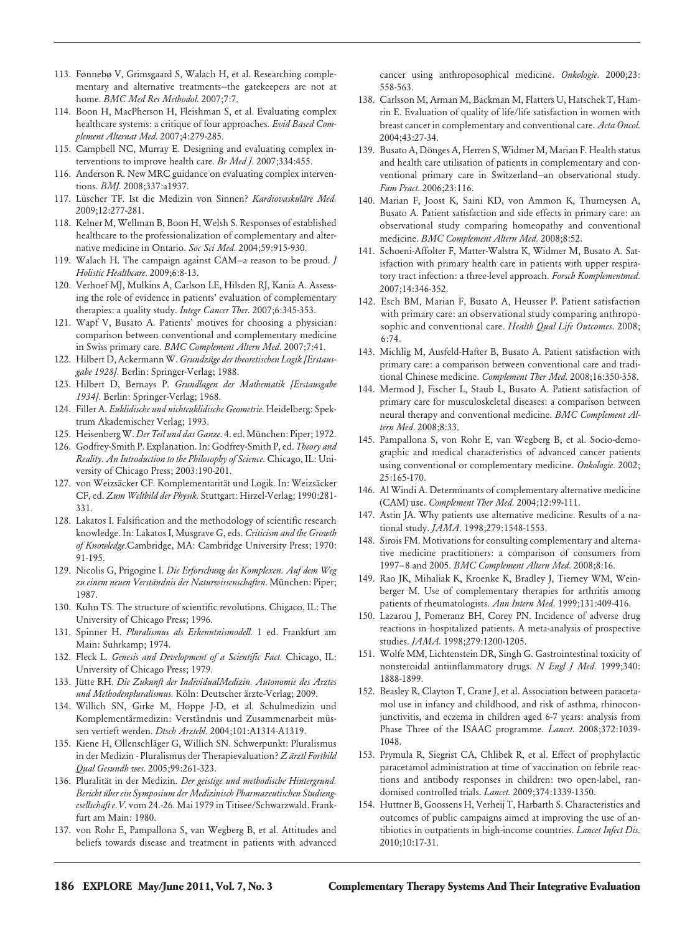- <span id="page-11-0"></span>113. Fønnebø V, Grimsgaard S, Walach H, et al. Researching complementary and alternative treatments—the gatekeepers are not at home. *BMC Med Res Methodol.* 2007;7:7.
- <span id="page-11-1"></span>114. Boon H, MacPherson H, Fleishman S, et al. Evaluating complex healthcare systems: a critique of four approaches. *Evid Based Complement Alternat Med.* 2007;4:279-285.
- <span id="page-11-2"></span>115. Campbell NC, Murray E. Designing and evaluating complex interventions to improve health care. *Br Med J.* 2007;334:455.
- <span id="page-11-3"></span>116. Anderson R. New MRC guidance on evaluating complex interventions. *BMJ.* 2008;337:a1937.
- 117. Lüscher TF. Ist die Medizin von Sinnen? *Kardiovaskuläre Med.* 2009;12:277-281.
- 118. Kelner M, Wellman B, Boon H, Welsh S. Responses of established healthcare to the professionalization of complementary and alternative medicine in Ontario. *Soc Sci Med.* 2004;59:915-930.
- 119. Walach H. The campaign against CAM—a reason to be proud. *J Holistic Healthcare.* 2009;6:8-13.
- 120. Verhoef MJ, Mulkins A, Carlson LE, Hilsden RJ, Kania A. Assessing the role of evidence in patients' evaluation of complementary therapies: a quality study. *Integr Cancer Ther.* 2007;6:345-353.
- <span id="page-11-10"></span>121. Wapf V, Busato A. Patients' motives for choosing a physician: comparison between conventional and complementary medicine in Swiss primary care. *BMC Complement Altern Med.* 2007;7:41.
- <span id="page-11-4"></span>122. Hilbert D, Ackermann W. *Grundzüge der theoretischen Logik [Erstausgabe 1928].* Berlin: Springer-Verlag; 1988.
- 123. Hilbert D, Bernays P. *Grundlagen der Mathematik [Erstausgabe 1934].* Berlin: Springer-Verlag; 1968.
- 124. Filler A. *Euklidische und nichteuklidische Geometrie.* Heidelberg: Spektrum Akademischer Verlag; 1993.
- <span id="page-11-5"></span>125. Heisenberg W. *Der Teil und das Ganze.* 4. ed. München: Piper; 1972.
- 126. Godfrey-Smith P. Explanation. In: Godfrey-Smith P, ed. *Theory and Reality. An Introduction to the Philosophy of Science*. Chicago, IL: University of Chicago Press; 2003:190-201.
- <span id="page-11-6"></span>127. von Weizsäcker CF. Komplementarität und Logik. In: Weizsäcker CF, ed. *Zum Weltbild der Physik.* Stuttgart: Hirzel-Verlag; 1990:281- 331.
- <span id="page-11-7"></span>128. Lakatos I. Falsification and the methodology of scientific research knowledge. In: Lakatos I, Musgrave G, eds. *Criticism and the Growth of Knowledge*.Cambridge, MA: Cambridge University Press; 1970: 91-195.
- <span id="page-11-8"></span>129. Nicolis G, Prigogine I. *Die Erforschung des Komplexen. Auf dem Weg zu einem neuen Verständnis der Naturwissenschaften.* München: Piper; 1987.
- <span id="page-11-9"></span>130. Kuhn TS. The structure of scientific revolutions. Chigaco, IL: The University of Chicago Press; 1996.
- <span id="page-11-17"></span>131. Spinner H. *Pluralismus als Erkenntnismodell.* 1 ed. Frankfurt am Main: Suhrkamp; 1974.
- 132. Fleck L. *Genesis and Development of a Scientific Fact*. Chicago, IL: University of Chicago Press; 1979.
- 133. Jütte RH. *Die Zukunft der IndividualMedizin. Autonomie des Arztes und Methodenpluralismus.* Köln: Deutscher ärzte-Verlag; 2009.
- 134. Willich SN, Girke M, Hoppe J-D, et al. Schulmedizin und Komplementärmedizin: Verständnis und Zusammenarbeit müssen vertieft werden. *Dtsch Arztebl.* 2004;101:A1314-A1319.
- 135. Kiene H, Ollenschläger G, Willich SN. Schwerpunkt: Pluralismus in der Medizin - Pluralismus der Therapievaluation? *Z ärztl Fortbild Qual Gesundh wes.* 2005;99:261-323.
- 136. Pluralität in der Medizin. *Der geistige und methodische Hintergrund. Bericht über ein Symposium der Medizinisch Pharmazeutischen Studiengesellschaft e.V.* vom 24.-26. Mai 1979 in Titisee/Schwarzwald. Frankfurt am Main: 1980.
- 137. von Rohr E, Pampallona S, van Wegberg B, et al. Attitudes and beliefs towards disease and treatment in patients with advanced

cancer using anthroposophical medicine. *Onkologie.* 2000;23: 558-563.

- 138. Carlsson M, Arman M, Backman M, Flatters U, Hatschek T, Hamrin E. Evaluation of quality of life/life satisfaction in women with breast cancer in complementary and conventional care. *Acta Oncol.* 2004;43:27-34.
- 139. Busato A, Dönges A, Herren S, Widmer M, Marian F. Health status and health care utilisation of patients in complementary and conventional primary care in Switzerland—an observational study. *Fam Pract.* 2006;23:116.
- <span id="page-11-16"></span>140. Marian F, Joost K, Saini KD, von Ammon K, Thurneysen A, Busato A. Patient satisfaction and side effects in primary care: an observational study comparing homeopathy and conventional medicine. *BMC Complement Altern Med.* 2008;8:52.
- 141. Schoeni-Affolter F, Matter-Walstra K, Widmer M, Busato A. Satisfaction with primary health care in patients with upper respiratory tract infection: a three-level approach. *Forsch Komplementmed.* 2007;14:346-352.
- 142. Esch BM, Marian F, Busato A, Heusser P. Patient satisfaction with primary care: an observational study comparing anthroposophic and conventional care. *Health Qual Life Outcomes.* 2008; 6:74.
- 143. Michlig M, Ausfeld-Hafter B, Busato A. Patient satisfaction with primary care: a comparison between conventional care and traditional Chinese medicine. *Complement Ther Med.* 2008;16:350-358.
- 144. Mermod J, Fischer L, Staub L, Busato A. Patient satisfaction of primary care for musculoskeletal diseases: a comparison between neural therapy and conventional medicine. *BMC Complement Altern Med.* 2008;8:33.
- 145. Pampallona S, von Rohr E, van Wegberg B, et al. Socio-demographic and medical characteristics of advanced cancer patients using conventional or complementary medicine. *Onkologie.* 2002; 25:165-170.
- 146. Al Windi A. Determinants of complementary alternative medicine (CAM) use. *Complement Ther Med.* 2004;12:99-111.
- 147. Astin JA. Why patients use alternative medicine. Results of a national study. *JAMA*. 1998;279:1548-1553.
- 148. Sirois FM. Motivations for consulting complementary and alternative medicine practitioners: a comparison of consumers from 1997– 8 and 2005. *BMC Complement Altern Med.* 2008;8:16.
- 149. Rao JK, Mihaliak K, Kroenke K, Bradley J, Tierney WM, Weinberger M. Use of complementary therapies for arthritis among patients of rheumatologists. *Ann Intern Med.* 1999;131:409-416.
- <span id="page-11-11"></span>150. Lazarou J, Pomeranz BH, Corey PN. Incidence of adverse drug reactions in hospitalized patients. A meta-analysis of prospective studies. *JAMA.* 1998;279:1200-1205.
- <span id="page-11-12"></span>151. Wolfe MM, Lichtenstein DR, Singh G. Gastrointestinal toxicity of nonsteroidal antiinflammatory drugs. *N Engl J Med.* 1999;340: 1888-1899.
- <span id="page-11-13"></span>152. Beasley R, Clayton T, Crane J, et al. Association between paracetamol use in infancy and childhood, and risk of asthma, rhinoconjunctivitis, and eczema in children aged 6-7 years: analysis from Phase Three of the ISAAC programme. *Lancet.* 2008;372:1039- 1048.
- <span id="page-11-14"></span>153. Prymula R, Siegrist CA, Chlibek R, et al. Effect of prophylactic paracetamol administration at time of vaccination on febrile reactions and antibody responses in children: two open-label, randomised controlled trials. *Lancet.* 2009;374:1339-1350.
- <span id="page-11-15"></span>154. Huttner B, Goossens H, Verheij T, Harbarth S. Characteristics and outcomes of public campaigns aimed at improving the use of antibiotics in outpatients in high-income countries. *Lancet Infect Dis.* 2010;10:17-31.